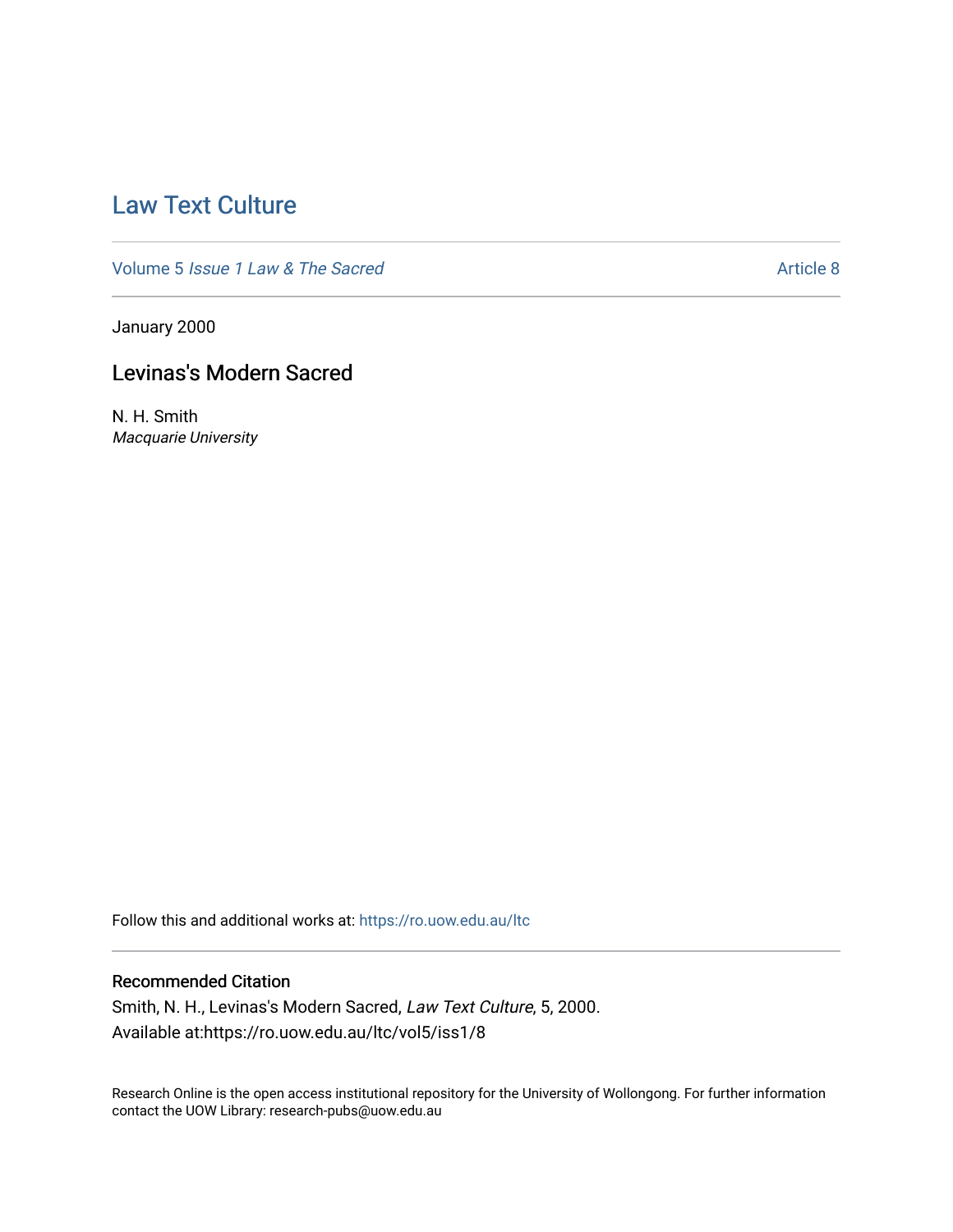# [Law Text Culture](https://ro.uow.edu.au/ltc)

Volume 5 [Issue 1 Law & The Sacred](https://ro.uow.edu.au/ltc/vol5) Article 8

January 2000

## Levinas's Modern Sacred

N. H. Smith Macquarie University

Follow this and additional works at: [https://ro.uow.edu.au/ltc](https://ro.uow.edu.au/ltc?utm_source=ro.uow.edu.au%2Fltc%2Fvol5%2Fiss1%2F8&utm_medium=PDF&utm_campaign=PDFCoverPages) 

## Recommended Citation

Smith, N. H., Levinas's Modern Sacred, Law Text Culture, 5, 2000. Available at:https://ro.uow.edu.au/ltc/vol5/iss1/8

Research Online is the open access institutional repository for the University of Wollongong. For further information contact the UOW Library: research-pubs@uow.edu.au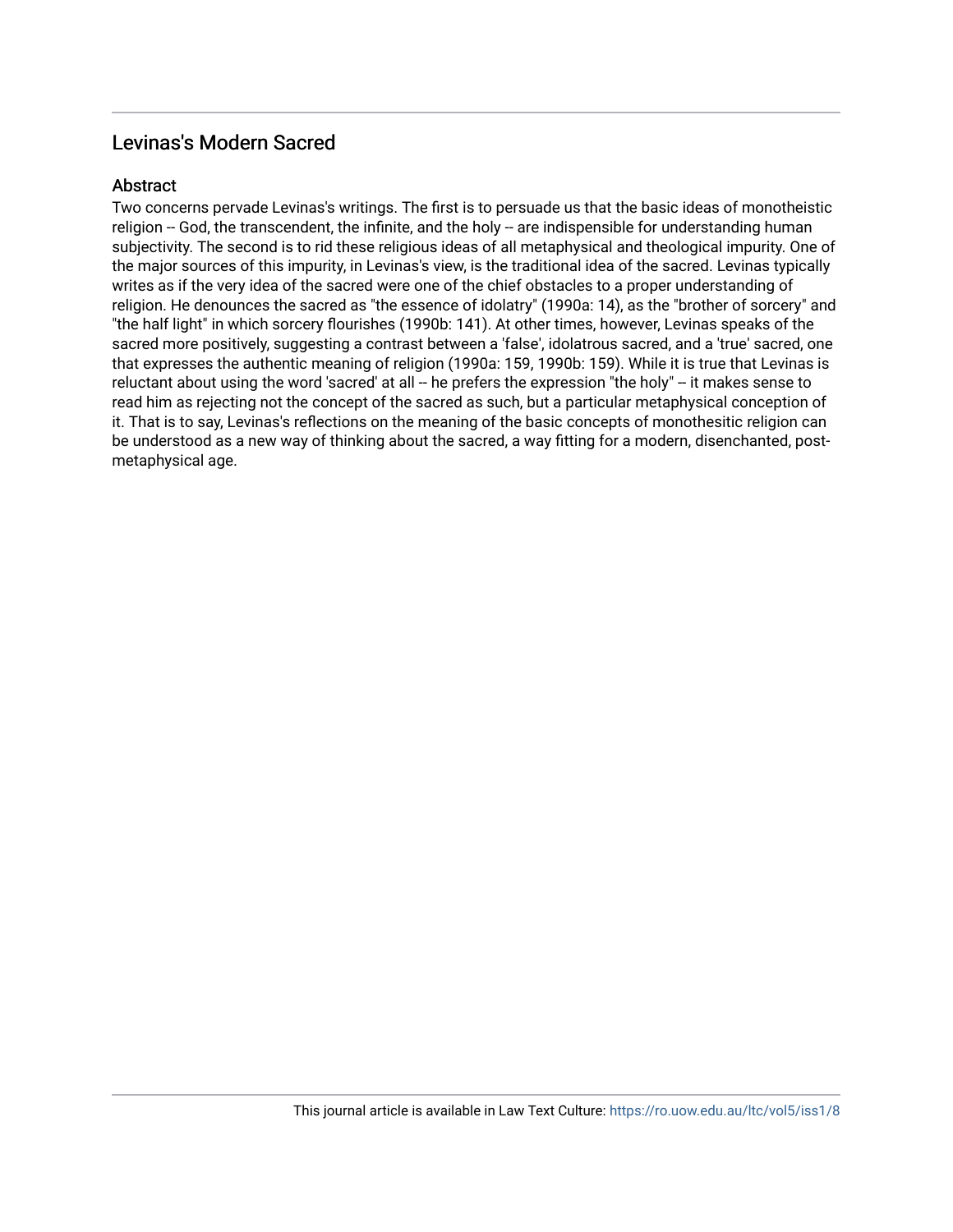## Levinas's Modern Sacred

### **Abstract**

Two concerns pervade Levinas's writings. The first is to persuade us that the basic ideas of monotheistic religion -- God, the transcendent, the infinite, and the holy -- are indispensible for understanding human subjectivity. The second is to rid these religious ideas of all metaphysical and theological impurity. One of the major sources of this impurity, in Levinas's view, is the traditional idea of the sacred. Levinas typically writes as if the very idea of the sacred were one of the chief obstacles to a proper understanding of religion. He denounces the sacred as "the essence of idolatry" (1990a: 14), as the "brother of sorcery" and "the half light" in which sorcery flourishes (1990b: 141). At other times, however, Levinas speaks of the sacred more positively, suggesting a contrast between a 'false', idolatrous sacred, and a 'true' sacred, one that expresses the authentic meaning of religion (1990a: 159, 1990b: 159). While it is true that Levinas is reluctant about using the word 'sacred' at all -- he prefers the expression "the holy" -- it makes sense to read him as rejecting not the concept of the sacred as such, but a particular metaphysical conception of it. That is to say, Levinas's reflections on the meaning of the basic concepts of monothesitic religion can be understood as a new way of thinking about the sacred, a way fitting for a modern, disenchanted, postmetaphysical age.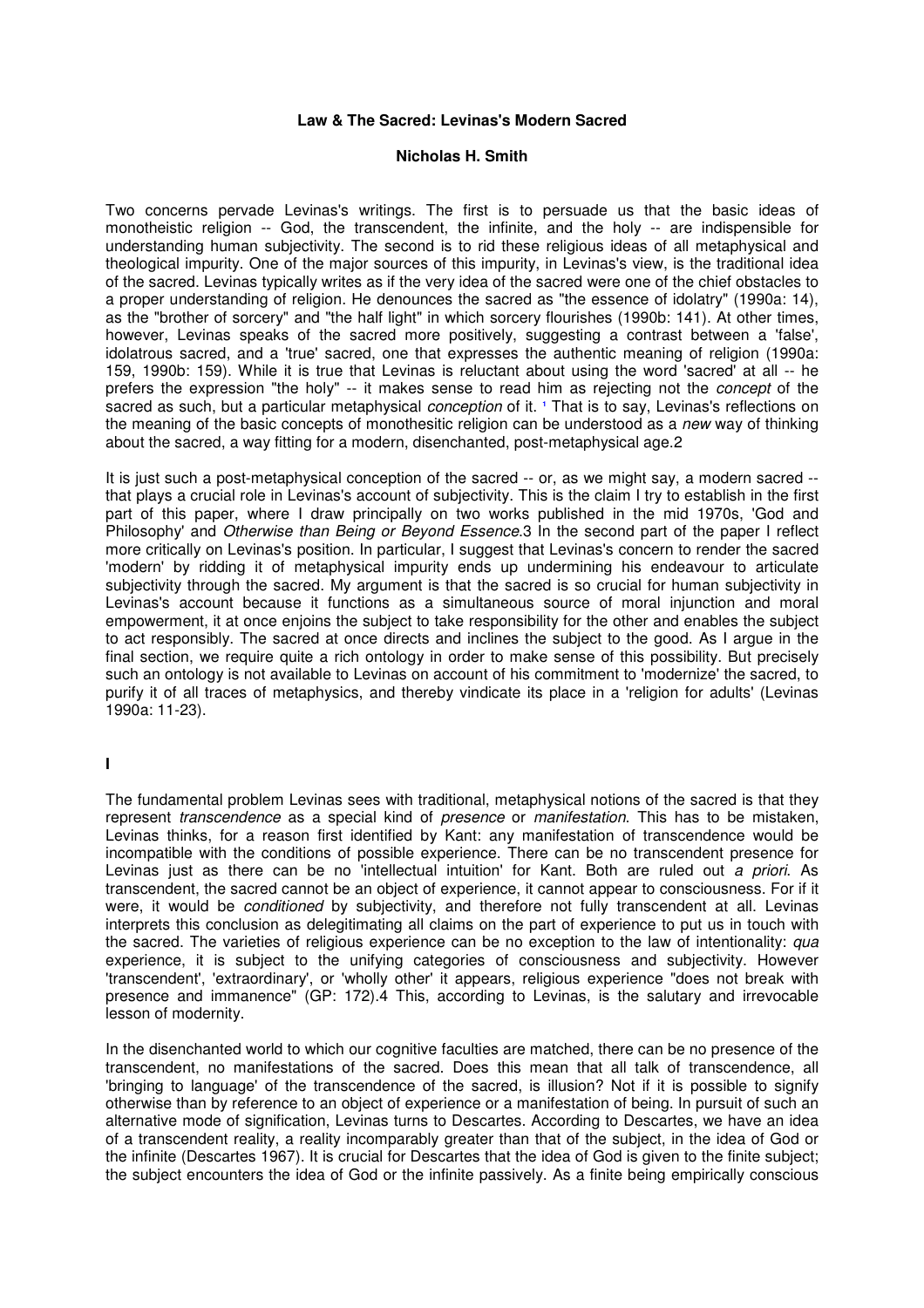#### **Law & The Sacred: Levinas's Modern Sacred**

#### **Nicholas H. Smith**

Two concerns pervade Levinas's writings. The first is to persuade us that the basic ideas of monotheistic religion -- God, the transcendent, the infinite, and the holy -- are indispensible for understanding human subjectivity. The second is to rid these religious ideas of all metaphysical and theological impurity. One of the major sources of this impurity, in Levinas's view, is the traditional idea of the sacred. Levinas typically writes as if the very idea of the sacred were one of the chief obstacles to a proper understanding of religion. He denounces the sacred as "the essence of idolatry" (1990a: 14), as the "brother of sorcery" and "the half light" in which sorcery flourishes (1990b: 141). At other times, however, Levinas speaks of the sacred more positively, suggesting a contrast between a 'false', idolatrous sacred, and a 'true' sacred, one that expresses the authentic meaning of religion (1990a: 159, 1990b: 159). While it is true that Levinas is reluctant about using the word 'sacred' at all -- he prefers the expression "the holy" -- it makes sense to read him as rejecting not the concept of the sacred as such, but a particular metaphysical conception of it. **<sup>1</sup>** That is to say, Levinas's reflections on the meaning of the basic concepts of monothesitic religion can be understood as a new way of thinking about the sacred, a way fitting for a modern, disenchanted, post-metaphysical age.2

It is just such a post-metaphysical conception of the sacred -- or, as we might say, a modern sacred - that plays a crucial role in Levinas's account of subjectivity. This is the claim I try to establish in the first part of this paper, where I draw principally on two works published in the mid 1970s, 'God and Philosophy' and Otherwise than Being or Beyond Essence.3 In the second part of the paper I reflect more critically on Levinas's position. In particular, I suggest that Levinas's concern to render the sacred 'modern' by ridding it of metaphysical impurity ends up undermining his endeavour to articulate subjectivity through the sacred. My argument is that the sacred is so crucial for human subjectivity in Levinas's account because it functions as a simultaneous source of moral injunction and moral empowerment, it at once enjoins the subject to take responsibility for the other and enables the subject to act responsibly. The sacred at once directs and inclines the subject to the good. As I argue in the final section, we require quite a rich ontology in order to make sense of this possibility. But precisely such an ontology is not available to Levinas on account of his commitment to 'modernize' the sacred, to purify it of all traces of metaphysics, and thereby vindicate its place in a 'religion for adults' (Levinas 1990a: 11-23).

#### **I**

The fundamental problem Levinas sees with traditional, metaphysical notions of the sacred is that they represent transcendence as a special kind of presence or manifestation. This has to be mistaken, Levinas thinks, for a reason first identified by Kant: any manifestation of transcendence would be incompatible with the conditions of possible experience. There can be no transcendent presence for Levinas just as there can be no 'intellectual intuition' for Kant. Both are ruled out a priori. As transcendent, the sacred cannot be an object of experience, it cannot appear to consciousness. For if it were, it would be *conditioned* by subjectivity, and therefore not fully transcendent at all. Levinas interprets this conclusion as delegitimating all claims on the part of experience to put us in touch with the sacred. The varieties of religious experience can be no exception to the law of intentionality: qua experience, it is subject to the unifying categories of consciousness and subjectivity. However 'transcendent', 'extraordinary', or 'wholly other' it appears, religious experience "does not break with presence and immanence" (GP: 172).4 This, according to Levinas, is the salutary and irrevocable lesson of modernity.

In the disenchanted world to which our cognitive faculties are matched, there can be no presence of the transcendent, no manifestations of the sacred. Does this mean that all talk of transcendence, all 'bringing to language' of the transcendence of the sacred, is illusion? Not if it is possible to signify otherwise than by reference to an object of experience or a manifestation of being. In pursuit of such an alternative mode of signification, Levinas turns to Descartes. According to Descartes, we have an idea of a transcendent reality, a reality incomparably greater than that of the subject, in the idea of God or the infinite (Descartes 1967). It is crucial for Descartes that the idea of God is given to the finite subject; the subject encounters the idea of God or the infinite passively. As a finite being empirically conscious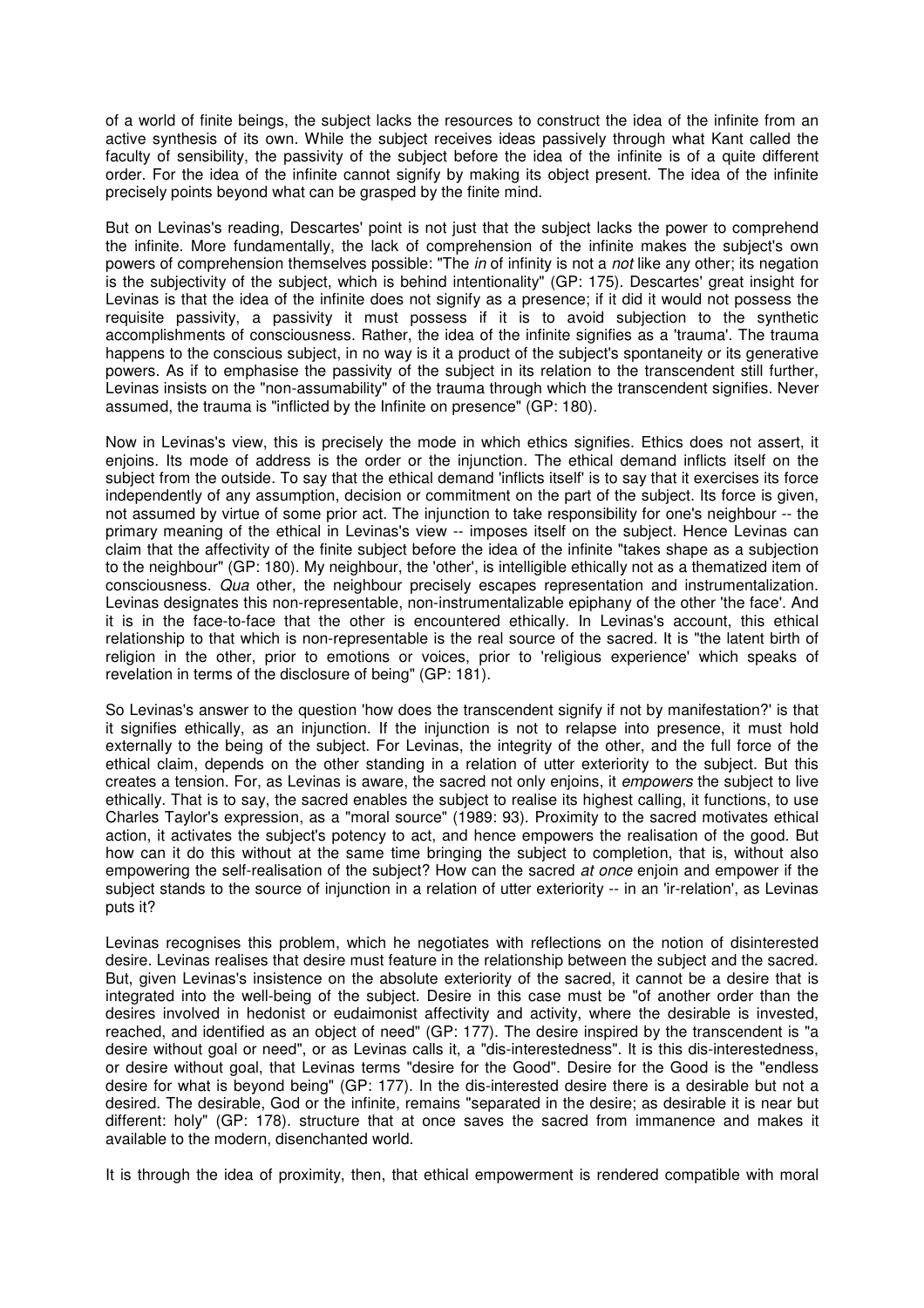of a world of finite beings, the subject lacks the resources to construct the idea of the infinite from an active synthesis of its own. While the subject receives ideas passively through what Kant called the faculty of sensibility, the passivity of the subject before the idea of the infinite is of a quite different order. For the idea of the infinite cannot signify by making its object present. The idea of the infinite precisely points beyond what can be grasped by the finite mind.

But on Levinas's reading, Descartes' point is not just that the subject lacks the power to comprehend the infinite. More fundamentally, the lack of comprehension of the infinite makes the subject's own powers of comprehension themselves possible: "The in of infinity is not a not like any other; its negation is the subjectivity of the subject, which is behind intentionality" (GP: 175). Descartes' great insight for Levinas is that the idea of the infinite does not signify as a presence; if it did it would not possess the requisite passivity, a passivity it must possess if it is to avoid subjection to the synthetic accomplishments of consciousness. Rather, the idea of the infinite signifies as a 'trauma'. The trauma happens to the conscious subject, in no way is it a product of the subject's spontaneity or its generative powers. As if to emphasise the passivity of the subject in its relation to the transcendent still further, Levinas insists on the "non-assumability" of the trauma through which the transcendent signifies. Never assumed, the trauma is "inflicted by the Infinite on presence" (GP: 180).

Now in Levinas's view, this is precisely the mode in which ethics signifies. Ethics does not assert, it enjoins. Its mode of address is the order or the injunction. The ethical demand inflicts itself on the subject from the outside. To say that the ethical demand 'inflicts itself' is to say that it exercises its force independently of any assumption, decision or commitment on the part of the subject. Its force is given, not assumed by virtue of some prior act. The injunction to take responsibility for one's neighbour -- the primary meaning of the ethical in Levinas's view -- imposes itself on the subject. Hence Levinas can claim that the affectivity of the finite subject before the idea of the infinite "takes shape as a subjection to the neighbour" (GP: 180). My neighbour, the 'other', is intelligible ethically not as a thematized item of consciousness. Qua other, the neighbour precisely escapes representation and instrumentalization. Levinas designates this non-representable, non-instrumentalizable epiphany of the other 'the face'. And it is in the face-to-face that the other is encountered ethically. In Levinas's account, this ethical relationship to that which is non-representable is the real source of the sacred. It is "the latent birth of religion in the other, prior to emotions or voices, prior to 'religious experience' which speaks of revelation in terms of the disclosure of being" (GP: 181).

So Levinas's answer to the question 'how does the transcendent signify if not by manifestation?' is that it signifies ethically, as an injunction. If the injunction is not to relapse into presence, it must hold externally to the being of the subject. For Levinas, the integrity of the other, and the full force of the ethical claim, depends on the other standing in a relation of utter exteriority to the subject. But this creates a tension. For, as Levinas is aware, the sacred not only enjoins, it empowers the subject to live ethically. That is to say, the sacred enables the subject to realise its highest calling, it functions, to use Charles Taylor's expression, as a "moral source" (1989: 93). Proximity to the sacred motivates ethical action, it activates the subject's potency to act, and hence empowers the realisation of the good. But how can it do this without at the same time bringing the subject to completion, that is, without also empowering the self-realisation of the subject? How can the sacred at once enjoin and empower if the subject stands to the source of injunction in a relation of utter exteriority -- in an 'ir-relation', as Levinas puts it?

Levinas recognises this problem, which he negotiates with reflections on the notion of disinterested desire. Levinas realises that desire must feature in the relationship between the subject and the sacred. But, given Levinas's insistence on the absolute exteriority of the sacred, it cannot be a desire that is integrated into the well-being of the subject. Desire in this case must be "of another order than the desires involved in hedonist or eudaimonist affectivity and activity, where the desirable is invested, reached, and identified as an object of need" (GP: 177). The desire inspired by the transcendent is "a desire without goal or need", or as Levinas calls it, a "dis-interestedness". It is this dis-interestedness, or desire without goal, that Levinas terms "desire for the Good". Desire for the Good is the "endless desire for what is beyond being" (GP: 177). In the dis-interested desire there is a desirable but not a desired. The desirable, God or the infinite, remains "separated in the desire; as desirable it is near but different: holy" (GP: 178). structure that at once saves the sacred from immanence and makes it available to the modern, disenchanted world.

It is through the idea of proximity, then, that ethical empowerment is rendered compatible with moral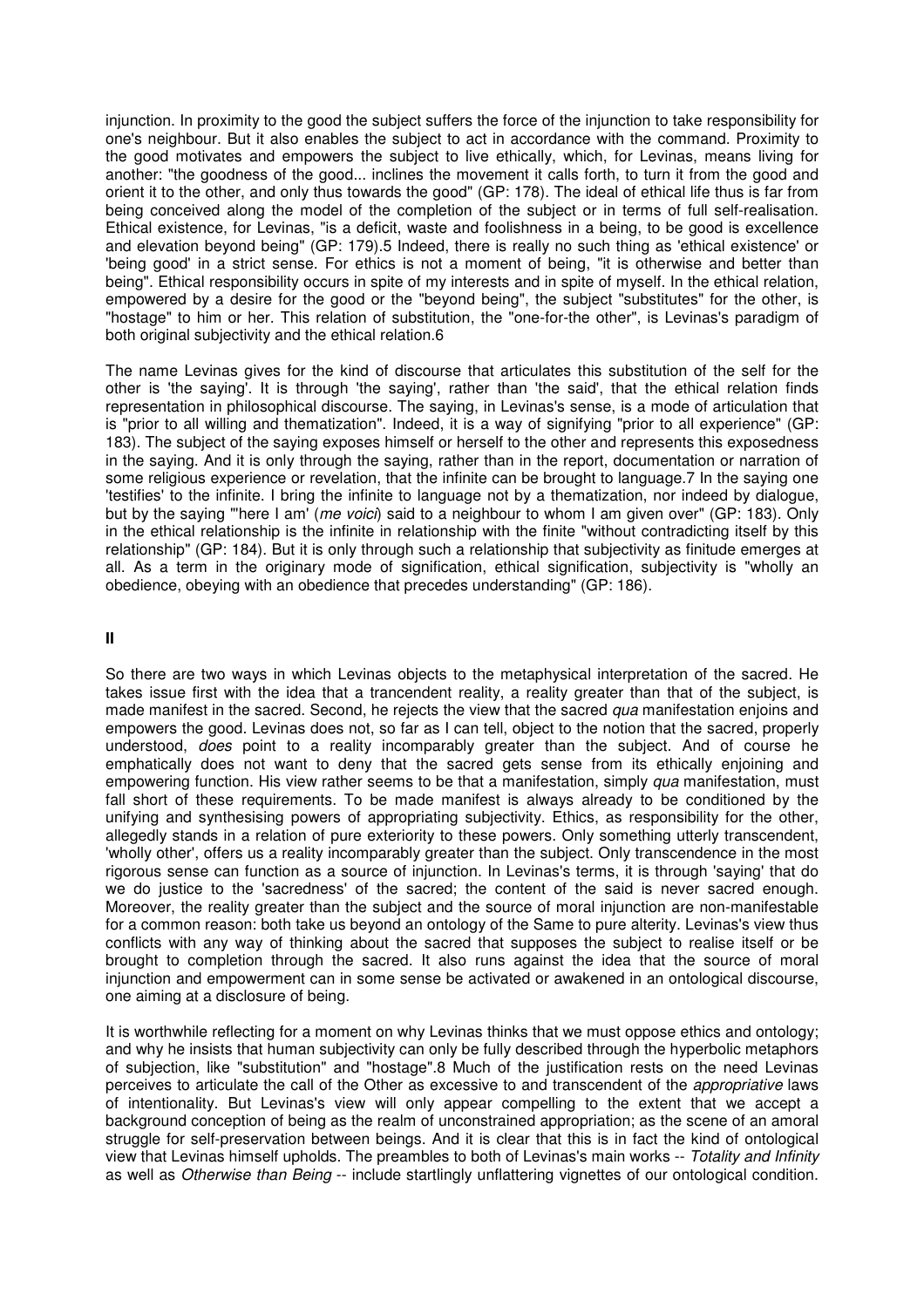injunction. In proximity to the good the subject suffers the force of the injunction to take responsibility for one's neighbour. But it also enables the subject to act in accordance with the command. Proximity to the good motivates and empowers the subject to live ethically, which, for Levinas, means living for another: "the goodness of the good... inclines the movement it calls forth, to turn it from the good and orient it to the other, and only thus towards the good" (GP: 178). The ideal of ethical life thus is far from being conceived along the model of the completion of the subject or in terms of full self-realisation. Ethical existence, for Levinas, "is a deficit, waste and foolishness in a being, to be good is excellence and elevation beyond being" (GP: 179).5 Indeed, there is really no such thing as 'ethical existence' or 'being good' in a strict sense. For ethics is not a moment of being, "it is otherwise and better than being". Ethical responsibility occurs in spite of my interests and in spite of myself. In the ethical relation, empowered by a desire for the good or the "beyond being", the subject "substitutes" for the other, is "hostage" to him or her. This relation of substitution, the "one-for-the other", is Levinas's paradigm of both original subjectivity and the ethical relation.6

The name Levinas gives for the kind of discourse that articulates this substitution of the self for the other is 'the saying'. It is through 'the saying', rather than 'the said', that the ethical relation finds representation in philosophical discourse. The saying, in Levinas's sense, is a mode of articulation that is "prior to all willing and thematization". Indeed, it is a way of signifying "prior to all experience" (GP: 183). The subject of the saying exposes himself or herself to the other and represents this exposedness in the saying. And it is only through the saying, rather than in the report, documentation or narration of some religious experience or revelation, that the infinite can be brought to language.7 In the saying one 'testifies' to the infinite. I bring the infinite to language not by a thematization, nor indeed by dialogue, but by the saying "'here I am' (*me voici*) said to a neighbour to whom I am given over" (GP: 183). Only in the ethical relationship is the infinite in relationship with the finite "without contradicting itself by this relationship" (GP: 184). But it is only through such a relationship that subjectivity as finitude emerges at all. As a term in the originary mode of signification, ethical signification, subjectivity is "wholly an obedience, obeying with an obedience that precedes understanding" (GP: 186).

#### **II**

So there are two ways in which Levinas objects to the metaphysical interpretation of the sacred. He takes issue first with the idea that a trancendent reality, a reality greater than that of the subject, is made manifest in the sacred. Second, he rejects the view that the sacred *qua* manifestation enjoins and empowers the good. Levinas does not, so far as I can tell, object to the notion that the sacred, properly understood, does point to a reality incomparably greater than the subject. And of course he emphatically does not want to deny that the sacred gets sense from its ethically enjoining and empowering function. His view rather seems to be that a manifestation, simply qua manifestation, must fall short of these requirements. To be made manifest is always already to be conditioned by the unifying and synthesising powers of appropriating subjectivity. Ethics, as responsibility for the other, allegedly stands in a relation of pure exteriority to these powers. Only something utterly transcendent, 'wholly other', offers us a reality incomparably greater than the subject. Only transcendence in the most rigorous sense can function as a source of injunction. In Levinas's terms, it is through 'saying' that do we do justice to the 'sacredness' of the sacred; the content of the said is never sacred enough. Moreover, the reality greater than the subject and the source of moral injunction are non-manifestable for a common reason: both take us beyond an ontology of the Same to pure alterity. Levinas's view thus conflicts with any way of thinking about the sacred that supposes the subject to realise itself or be brought to completion through the sacred. It also runs against the idea that the source of moral injunction and empowerment can in some sense be activated or awakened in an ontological discourse, one aiming at a disclosure of being.

It is worthwhile reflecting for a moment on why Levinas thinks that we must oppose ethics and ontology; and why he insists that human subjectivity can only be fully described through the hyperbolic metaphors of subjection, like "substitution" and "hostage".8 Much of the justification rests on the need Levinas perceives to articulate the call of the Other as excessive to and transcendent of the appropriative laws of intentionality. But Levinas's view will only appear compelling to the extent that we accept a background conception of being as the realm of unconstrained appropriation; as the scene of an amoral struggle for self-preservation between beings. And it is clear that this is in fact the kind of ontological view that Levinas himself upholds. The preambles to both of Levinas's main works -- Totality and Infinity as well as Otherwise than Being -- include startlingly unflattering vignettes of our ontological condition.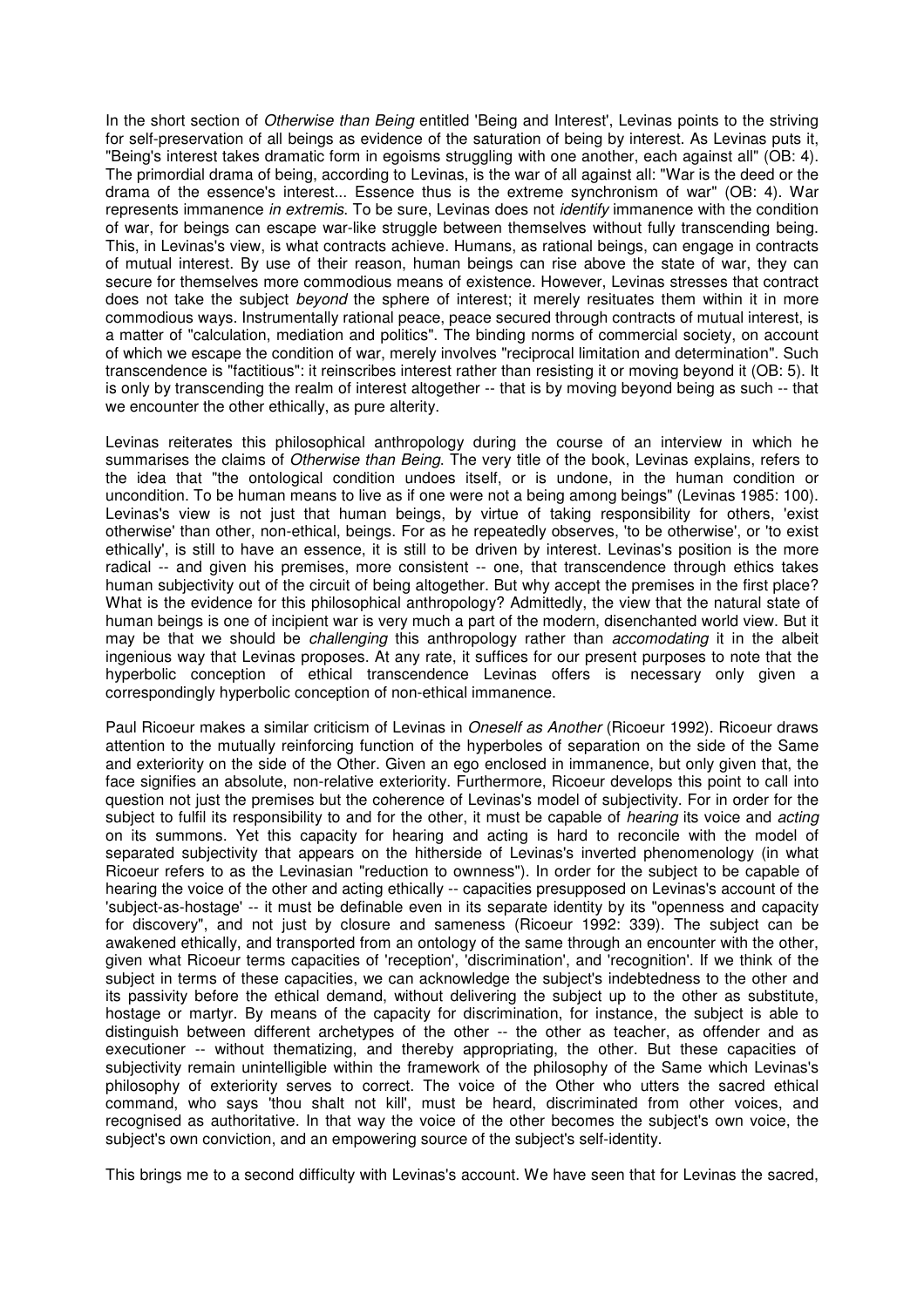In the short section of Otherwise than Being entitled 'Being and Interest', Levinas points to the striving for self-preservation of all beings as evidence of the saturation of being by interest. As Levinas puts it, "Being's interest takes dramatic form in egoisms struggling with one another, each against all" (OB: 4). The primordial drama of being, according to Levinas, is the war of all against all: "War is the deed or the drama of the essence's interest... Essence thus is the extreme synchronism of war" (OB: 4). War represents immanence in extremis. To be sure, Levinas does not identify immanence with the condition of war, for beings can escape war-like struggle between themselves without fully transcending being. This, in Levinas's view, is what contracts achieve. Humans, as rational beings, can engage in contracts of mutual interest. By use of their reason, human beings can rise above the state of war, they can secure for themselves more commodious means of existence. However, Levinas stresses that contract does not take the subject beyond the sphere of interest; it merely resituates them within it in more commodious ways. Instrumentally rational peace, peace secured through contracts of mutual interest, is a matter of "calculation, mediation and politics". The binding norms of commercial society, on account of which we escape the condition of war, merely involves "reciprocal limitation and determination". Such transcendence is "factitious": it reinscribes interest rather than resisting it or moving beyond it (OB: 5). It is only by transcending the realm of interest altogether -- that is by moving beyond being as such -- that we encounter the other ethically, as pure alterity.

Levinas reiterates this philosophical anthropology during the course of an interview in which he summarises the claims of Otherwise than Being. The very title of the book, Levinas explains, refers to the idea that "the ontological condition undoes itself, or is undone, in the human condition or uncondition. To be human means to live as if one were not a being among beings" (Levinas 1985: 100). Levinas's view is not just that human beings, by virtue of taking responsibility for others, 'exist otherwise' than other, non-ethical, beings. For as he repeatedly observes, 'to be otherwise', or 'to exist ethically', is still to have an essence, it is still to be driven by interest. Levinas's position is the more radical -- and given his premises, more consistent -- one, that transcendence through ethics takes human subjectivity out of the circuit of being altogether. But why accept the premises in the first place? What is the evidence for this philosophical anthropology? Admittedly, the view that the natural state of human beings is one of incipient war is very much a part of the modern, disenchanted world view. But it may be that we should be challenging this anthropology rather than accomodating it in the albeit ingenious way that Levinas proposes. At any rate, it suffices for our present purposes to note that the hyperbolic conception of ethical transcendence Levinas offers is necessary only given a correspondingly hyperbolic conception of non-ethical immanence.

Paul Ricoeur makes a similar criticism of Levinas in *Oneself as Another* (Ricoeur 1992). Ricoeur draws attention to the mutually reinforcing function of the hyperboles of separation on the side of the Same and exteriority on the side of the Other. Given an ego enclosed in immanence, but only given that, the face signifies an absolute, non-relative exteriority. Furthermore, Ricoeur develops this point to call into question not just the premises but the coherence of Levinas's model of subjectivity. For in order for the subject to fulfil its responsibility to and for the other, it must be capable of *hearing* its voice and *acting* on its summons. Yet this capacity for hearing and acting is hard to reconcile with the model of separated subjectivity that appears on the hitherside of Levinas's inverted phenomenology (in what Ricoeur refers to as the Levinasian "reduction to ownness"). In order for the subject to be capable of hearing the voice of the other and acting ethically -- capacities presupposed on Levinas's account of the 'subject-as-hostage' -- it must be definable even in its separate identity by its "openness and capacity for discovery", and not just by closure and sameness (Ricoeur 1992: 339). The subject can be awakened ethically, and transported from an ontology of the same through an encounter with the other, given what Ricoeur terms capacities of 'reception', 'discrimination', and 'recognition'. If we think of the subject in terms of these capacities, we can acknowledge the subject's indebtedness to the other and its passivity before the ethical demand, without delivering the subject up to the other as substitute, hostage or martyr. By means of the capacity for discrimination, for instance, the subject is able to distinguish between different archetypes of the other -- the other as teacher, as offender and as executioner -- without thematizing, and thereby appropriating, the other. But these capacities of subjectivity remain unintelligible within the framework of the philosophy of the Same which Levinas's philosophy of exteriority serves to correct. The voice of the Other who utters the sacred ethical command, who says 'thou shalt not kill', must be heard, discriminated from other voices, and recognised as authoritative. In that way the voice of the other becomes the subject's own voice, the subject's own conviction, and an empowering source of the subject's self-identity.

This brings me to a second difficulty with Levinas's account. We have seen that for Levinas the sacred,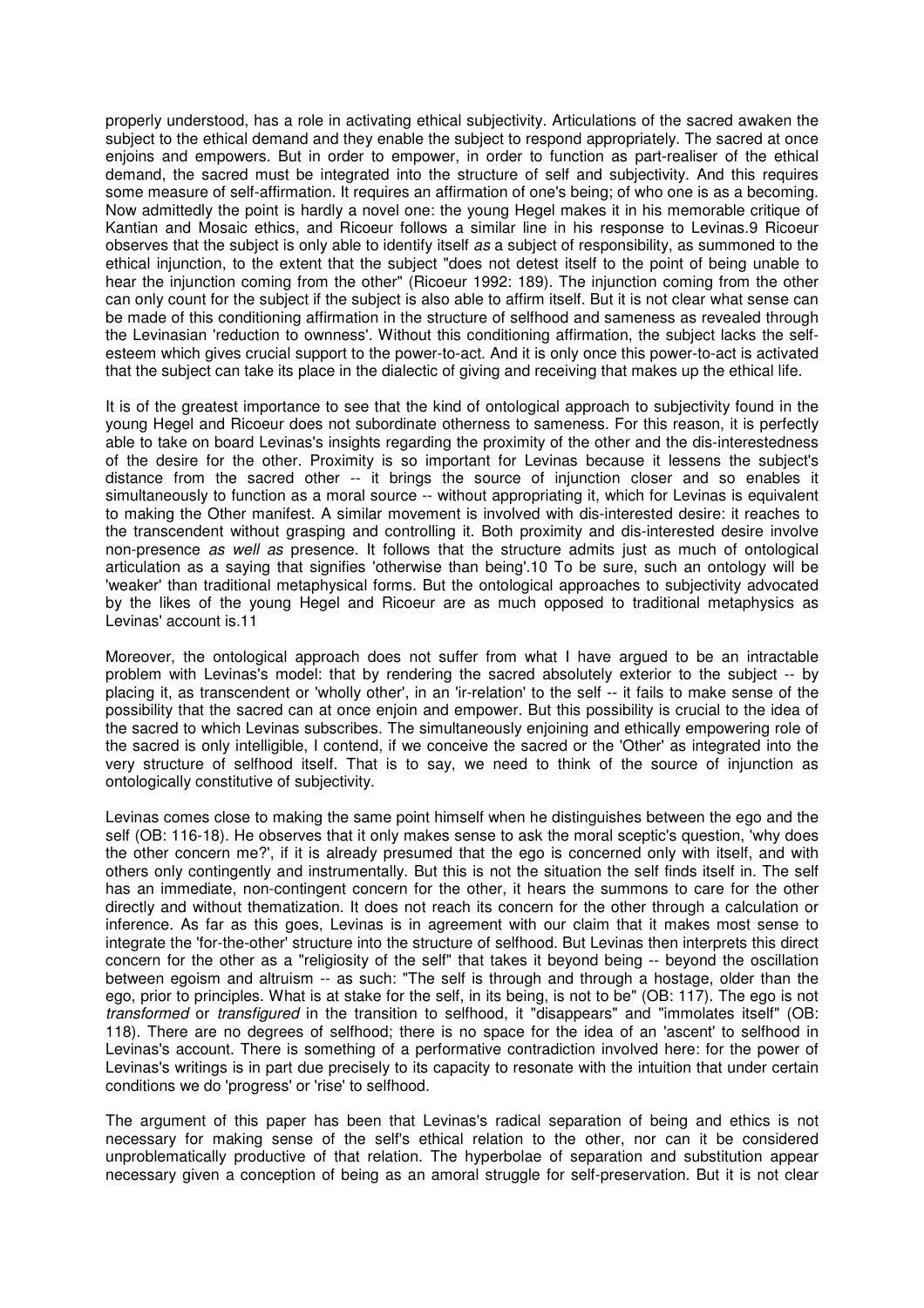properly understood, has a role in activating ethical subjectivity. Articulations of the sacred awaken the subject to the ethical demand and they enable the subject to respond appropriately. The sacred at once enjoins and empowers. But in order to empower, in order to function as part-realiser of the ethical demand, the sacred must be integrated into the structure of self and subjectivity. And this requires some measure of self-affirmation. It requires an affirmation of one's being; of who one is as a becoming. Now admittedly the point is hardly a novel one: the young Hegel makes it in his memorable critique of Kantian and Mosaic ethics, and Ricoeur follows a similar line in his response to Levinas.9 Ricoeur observes that the subject is only able to identify itself as a subject of responsibility, as summoned to the ethical injunction, to the extent that the subject "does not detest itself to the point of being unable to hear the injunction coming from the other" (Ricoeur 1992: 189). The injunction coming from the other can only count for the subject if the subject is also able to affirm itself. But it is not clear what sense can be made of this conditioning affirmation in the structure of selfhood and sameness as revealed through the Levinasian 'reduction to ownness'. Without this conditioning affirmation, the subject lacks the selfesteem which gives crucial support to the power-to-act. And it is only once this power-to-act is activated that the subject can take its place in the dialectic of giving and receiving that makes up the ethical life.

It is of the greatest importance to see that the kind of ontological approach to subjectivity found in the young Hegel and Ricoeur does not subordinate otherness to sameness. For this reason, it is perfectly able to take on board Levinas's insights regarding the proximity of the other and the dis-interestedness of the desire for the other. Proximity is so important for Levinas because it lessens the subject's distance from the sacred other -- it brings the source of injunction closer and so enables it simultaneously to function as a moral source -- without appropriating it, which for Levinas is equivalent to making the Other manifest. A similar movement is involved with dis-interested desire: it reaches to the transcendent without grasping and controlling it. Both proximity and dis-interested desire involve non-presence *as well as* presence. It follows that the structure admits just as much of ontological articulation as a saying that signifies 'otherwise than being'.10 To be sure, such an ontology will be 'weaker' than traditional metaphysical forms. But the ontological approaches to subjectivity advocated by the likes of the young Hegel and Ricoeur are as much opposed to traditional metaphysics as Levinas' account is.11

Moreover, the ontological approach does not suffer from what I have argued to be an intractable problem with Levinas's model: that by rendering the sacred absolutely exterior to the subject -- by placing it, as transcendent or 'wholly other', in an 'ir-relation' to the self -- it fails to make sense of the possibility that the sacred can at once enjoin and empower. But this possibility is crucial to the idea of the sacred to which Levinas subscribes. The simultaneously enjoining and ethically empowering role of the sacred is only intelligible, I contend, if we conceive the sacred or the 'Other' as integrated into the very structure of selfhood itself. That is to say, we need to think of the source of injunction as ontologically constitutive of subjectivity.

Levinas comes close to making the same point himself when he distinguishes between the ego and the self (OB: 116-18). He observes that it only makes sense to ask the moral sceptic's question, 'why does the other concern me?', if it is already presumed that the ego is concerned only with itself, and with others only contingently and instrumentally. But this is not the situation the self finds itself in. The self has an immediate, non-contingent concern for the other, it hears the summons to care for the other directly and without thematization. It does not reach its concern for the other through a calculation or inference. As far as this goes, Levinas is in agreement with our claim that it makes most sense to integrate the 'for-the-other' structure into the structure of selfhood. But Levinas then interprets this direct concern for the other as a "religiosity of the self" that takes it beyond being -- beyond the oscillation between egoism and altruism -- as such: "The self is through and through a hostage, older than the ego, prior to principles. What is at stake for the self, in its being, is not to be" (OB: 117). The ego is not transformed or transfigured in the transition to selfhood, it "disappears" and "immolates itself" (OB: 118). There are no degrees of selfhood; there is no space for the idea of an 'ascent' to selfhood in Levinas's account. There is something of a performative contradiction involved here: for the power of Levinas's writings is in part due precisely to its capacity to resonate with the intuition that under certain conditions we do 'progress' or 'rise' to selfhood.

The argument of this paper has been that Levinas's radical separation of being and ethics is not necessary for making sense of the self's ethical relation to the other, nor can it be considered unproblematically productive of that relation. The hyperbolae of separation and substitution appear necessary given a conception of being as an amoral struggle for self-preservation. But it is not clear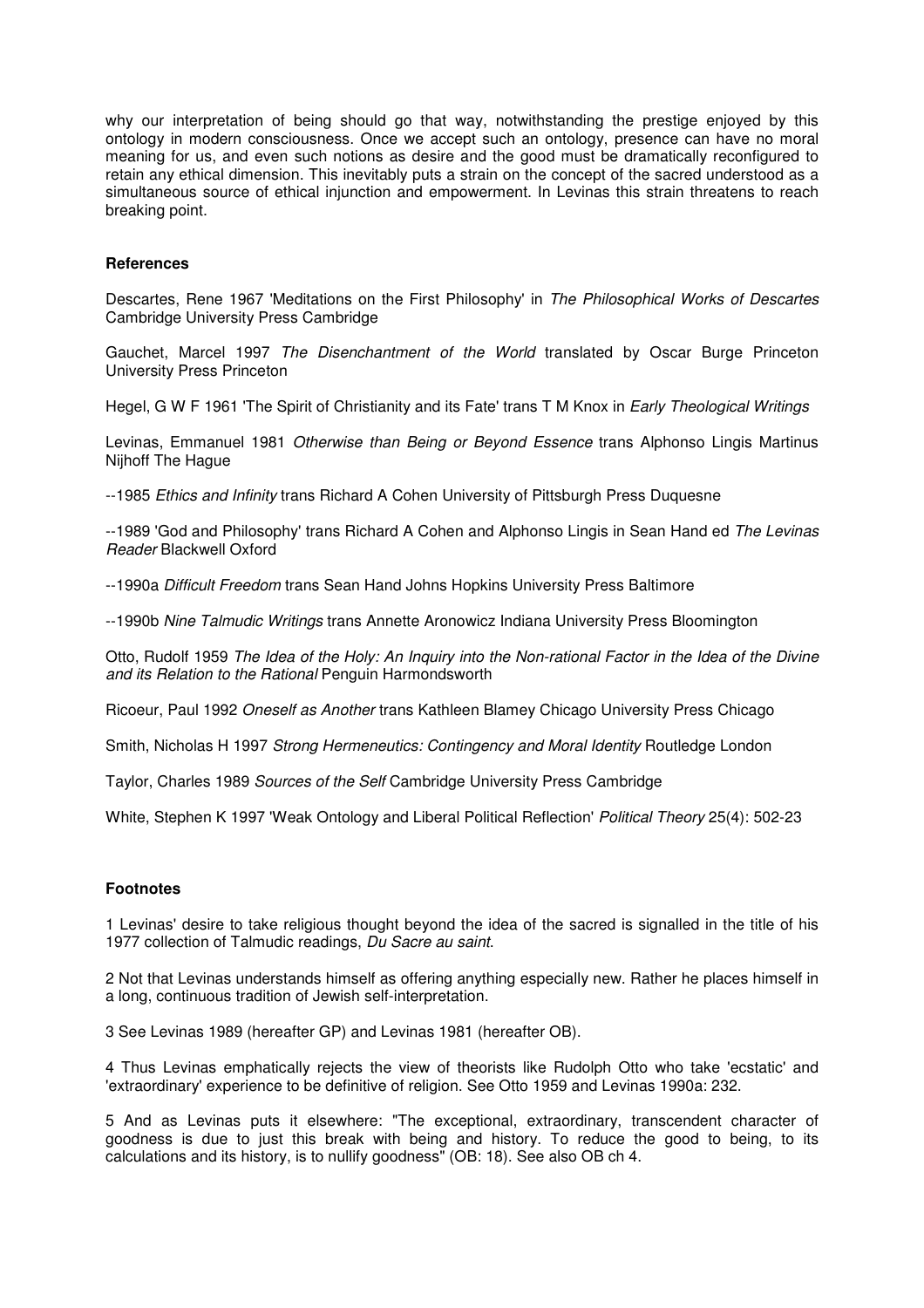why our interpretation of being should go that way, notwithstanding the prestige enjoyed by this ontology in modern consciousness. Once we accept such an ontology, presence can have no moral meaning for us, and even such notions as desire and the good must be dramatically reconfigured to retain any ethical dimension. This inevitably puts a strain on the concept of the sacred understood as a simultaneous source of ethical injunction and empowerment. In Levinas this strain threatens to reach breaking point.

### **References**

Descartes, Rene 1967 'Meditations on the First Philosophy' in The Philosophical Works of Descartes Cambridge University Press Cambridge

Gauchet, Marcel 1997 The Disenchantment of the World translated by Oscar Burge Princeton University Press Princeton

Hegel, G W F 1961 'The Spirit of Christianity and its Fate' trans T M Knox in Early Theological Writings

Levinas, Emmanuel 1981 Otherwise than Being or Beyond Essence trans Alphonso Lingis Martinus Nijhoff The Hague

--1985 Ethics and Infinity trans Richard A Cohen University of Pittsburgh Press Duquesne

--1989 'God and Philosophy' trans Richard A Cohen and Alphonso Lingis in Sean Hand ed The Levinas Reader Blackwell Oxford

--1990a Difficult Freedom trans Sean Hand Johns Hopkins University Press Baltimore

--1990b Nine Talmudic Writings trans Annette Aronowicz Indiana University Press Bloomington

Otto, Rudolf 1959 The Idea of the Holy: An Inquiry into the Non-rational Factor in the Idea of the Divine and its Relation to the Rational Penguin Harmondsworth

Ricoeur, Paul 1992 Oneself as Another trans Kathleen Blamey Chicago University Press Chicago

Smith, Nicholas H 1997 Strong Hermeneutics: Contingency and Moral Identity Routledge London

Taylor, Charles 1989 Sources of the Self Cambridge University Press Cambridge

White, Stephen K 1997 'Weak Ontology and Liberal Political Reflection' Political Theory 25(4): 502-23

#### **Footnotes**

1 Levinas' desire to take religious thought beyond the idea of the sacred is signalled in the title of his 1977 collection of Talmudic readings, Du Sacre au saint.

2 Not that Levinas understands himself as offering anything especially new. Rather he places himself in a long, continuous tradition of Jewish self-interpretation.

3 See Levinas 1989 (hereafter GP) and Levinas 1981 (hereafter OB).

4 Thus Levinas emphatically rejects the view of theorists like Rudolph Otto who take 'ecstatic' and 'extraordinary' experience to be definitive of religion. See Otto 1959 and Levinas 1990a: 232.

5 And as Levinas puts it elsewhere: "The exceptional, extraordinary, transcendent character of goodness is due to just this break with being and history. To reduce the good to being, to its calculations and its history, is to nullify goodness" (OB: 18). See also OB ch 4.